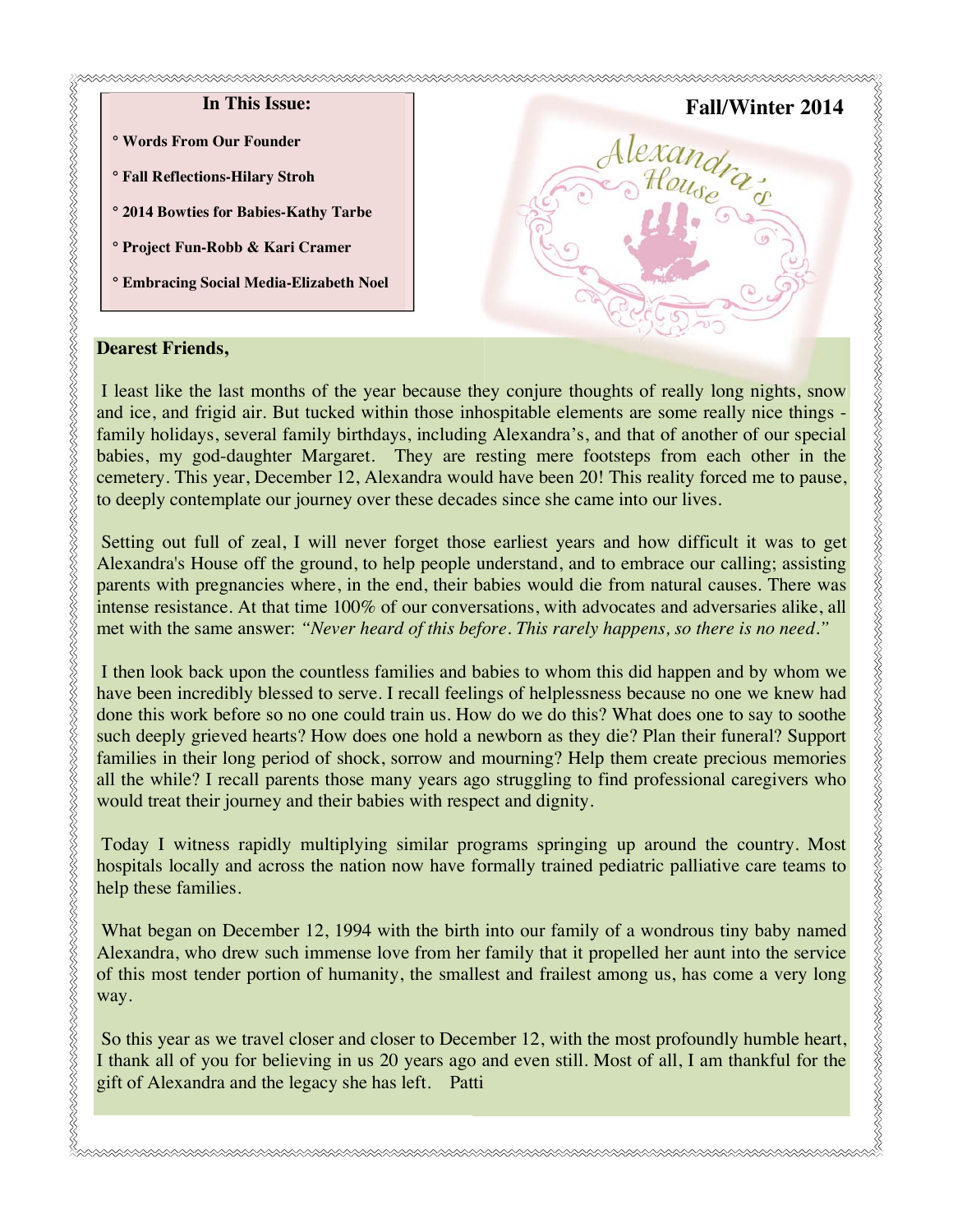# **In This Issue: ° Words From Our Founder ° Fall Reflections-Hilary Stroh ° 2014 Bowties for Babies-Kathy Tarbe ° Project Fun-Robb & Kari Cramer ° Embracing Social Media-Elizabeth Noel Fall/Winter 2014 2014**

#### **Dearest Friends,**

I least like the last months of the year because they conjure thoughts of really long nights, snow and ice, and frigid air. But tucked within those inhospitable elements are some really nice things family holidays, several family birthdays, including Alexandra's, and that of another of our special babies, my god-daughter Margaret. They are resting mere footsteps from each other in the cemetery. This year, December 12, Alexandra would have been 20! This reality forced me to pause, to deeply contemplate our journey over these decades since she came into our lives.

 Setting out full of zeal, I will never forget those earliest years and how difficult it was to get Alexandra's House off the ground, to help people understand, and to embrace our calling; assisting parents with pregnancies where, in the end, their babies would die from natural causes. There was intense resistance. At that time 100% of our conversations, with advocates and adversaries alike, all met with the same answer: *"Never heard of this before. This rarely happens, so there is no need."*

I then look back upon the countless families and babies to whom this did happen and by whom we have been incredibly blessed to serve. I recall feelings of helplessness because no one we knew had done this work before so no one could train us. How do we do this? What does one to say to soothe such deeply grieved hearts? How does one hold a newborn as they die? Plan their funeral? Support families in their long period of shock, sorrow and mourning? Help them create precious memories all the while? I recall parents those many years ago struggling to find professional caregivers who would treat their journey and their babies with respect and dignity.

 Today I witness rapidly multiplying similar programs springing up around the country. Most hospitals locally and across the nation now have formally trained pediatric palliative care teams to help these families.

 What began on December 12, 1994 with the birth into our family of a wondrous tiny baby named Alexandra, who drew such immense love from her family that it propelled her aunt into the service of this most tender portion of humanity, the smallest and frailest among us, has come a very long way.

 So this year as we travel closer and closer to December 12, with the most profoundly humble heart, I thank all of you for believing in us 20 years ago and even still. Most of all, I am thankful for the gift of Alexandra and the legacy she has left. Patti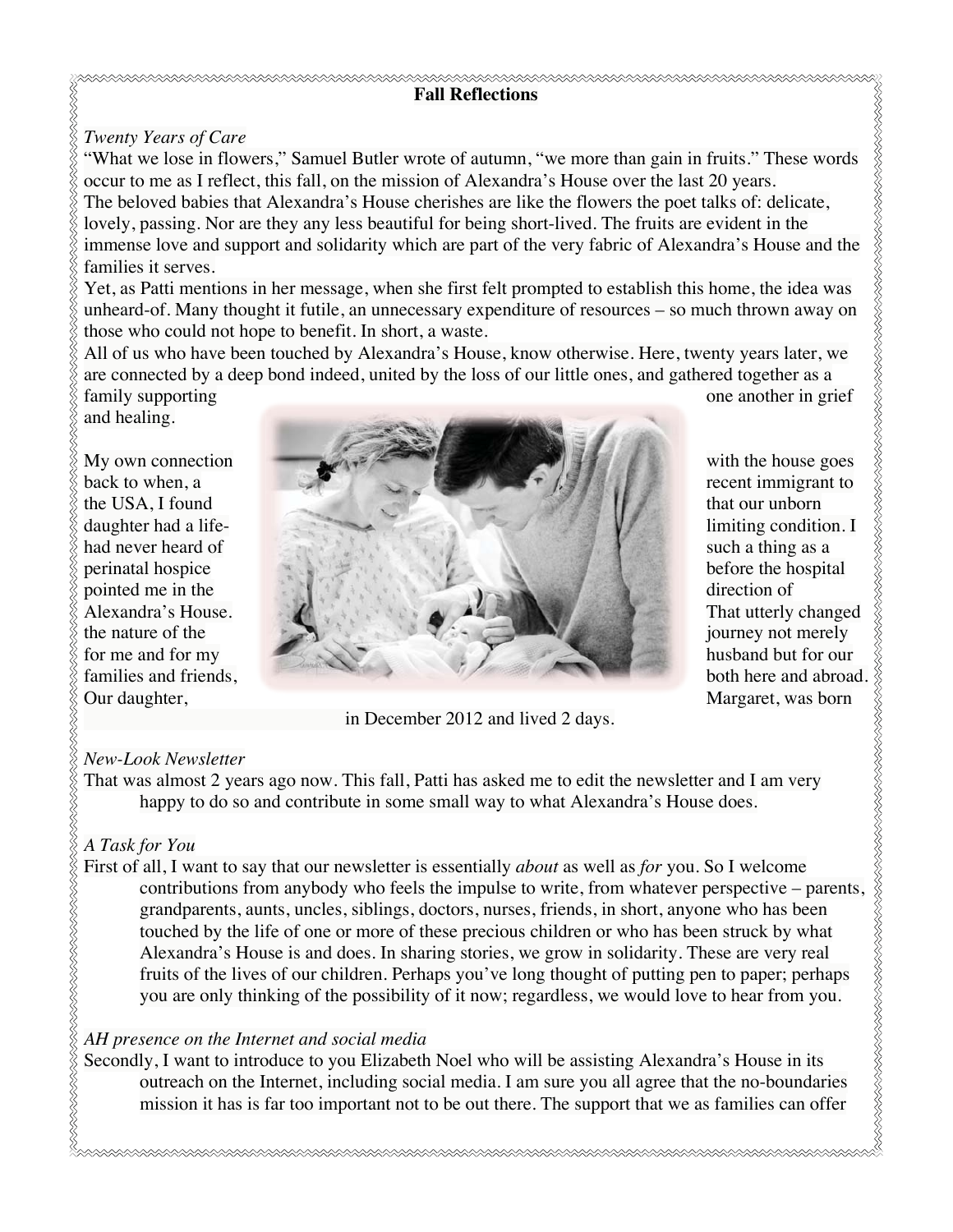# **Fall Reflections**

## *Twenty Years of Care*

"What we lose in flowers," Samuel Butler wrote of autumn, "we more than gain in fruits." These words occur to me as I reflect, this fall, on the mission of Alexandra's House over the last 20 years. The beloved babies that Alexandra's House cherishes are like the flowers the poet talks of: delicate, lovely, passing. Nor are they any less beautiful for being short-lived. The fruits are evident in the immense love and support and solidarity which are part of the very fabric of Alexandra's House and the families it serves.

Yet, as Patti mentions in her message, when she first felt prompted to establish this home, the idea was unheard-of. Many thought it futile, an unnecessary expenditure of resources – so much thrown away on those who could not hope to benefit. In short, a waste.

All of us who have been touched by Alexandra's House, know otherwise. Here, twenty years later, we are connected by a deep bond indeed, united by the loss of our little ones, and gathered together as a

and healing.



in December 2012 and lived 2 days.

# *New-Look Newsletter*

That was almost 2 years ago now. This fall, Patti has asked me to edit the newsletter and I am very happy to do so and contribute in some small way to what Alexandra's House does.

# E<br>E *A Task for You*

First of all, I want to say that our newsletter is essentially *about* as well as *for* you. So I welcome contributions from anybody who feels the impulse to write, from whatever perspective – parents, grandparents, aunts, uncles, siblings, doctors, nurses, friends, in short, anyone who has been touched by the life of one or more of these precious children or who has been struck by what Alexandra's House is and does. In sharing stories, we grow in solidarity. These are very real fruits of the lives of our children. Perhaps you've long thought of putting pen to paper; perhaps you are only thinking of the possibility of it now; regardless, we would love to hear from you.

# *AH presence on the Internet and social media*

Secondly, I want to introduce to you Elizabeth Noel who will be assisting Alexandra's House in its outreach on the Internet, including social media. I am sure you all agree that the no-boundaries mission it has is far too important not to be out there. The support that we as families can offer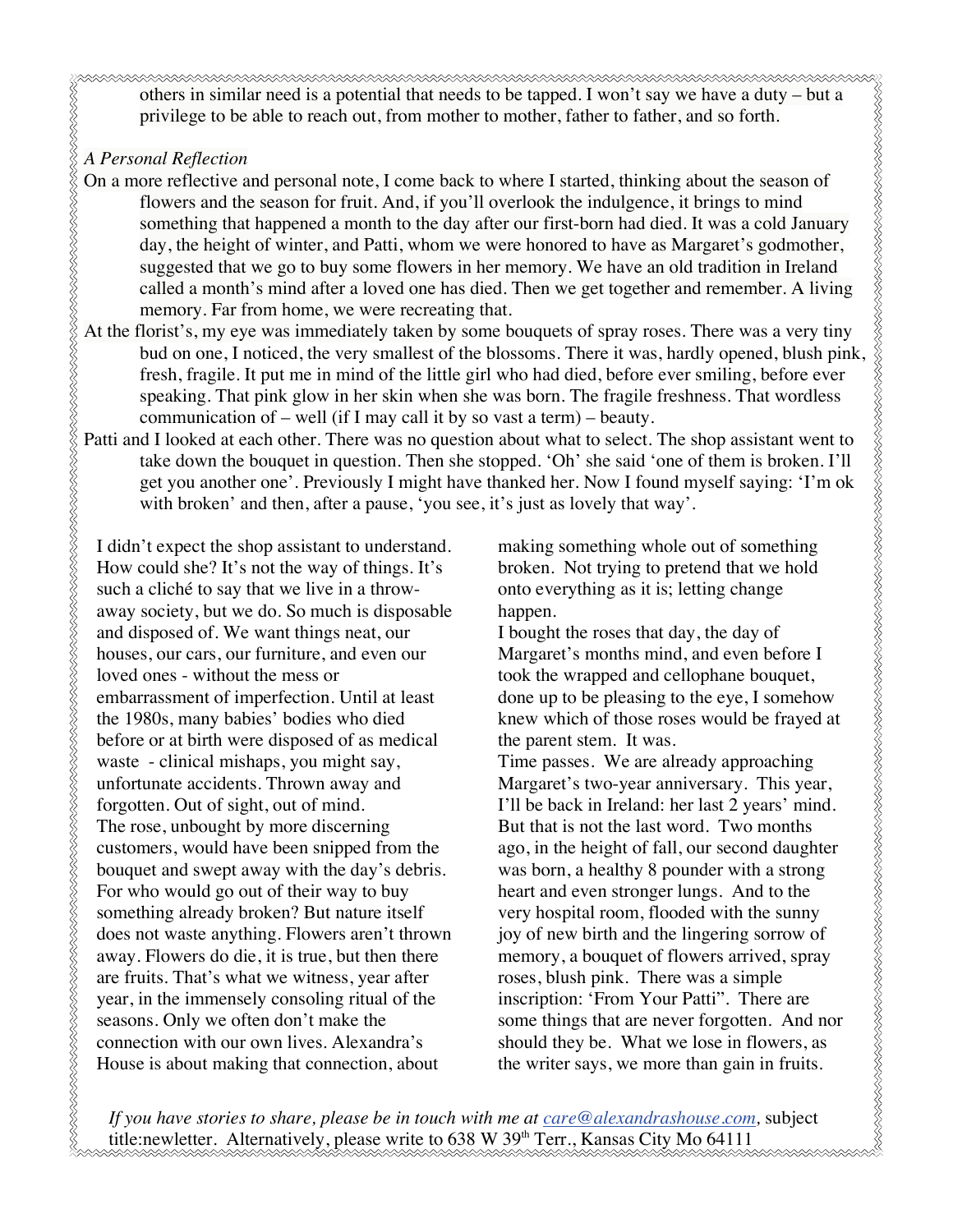others in similar need is a potential that needs to be tapped. I won't say we have a duty – but a privilege to be able to reach out, from mother to mother, father to father, and so forth.

### *A Personal Reflection*

- On a more reflective and personal note, I come back to where I started, thinking about the season of flowers and the season for fruit. And, if you'll overlook the indulgence, it brings to mind something that happened a month to the day after our first-born had died. It was a cold January day, the height of winter, and Patti, whom we were honored to have as Margaret's godmother, suggested that we go to buy some flowers in her memory. We have an old tradition in Ireland called a month's mind after a loved one has died. Then we get together and remember. A living memory. Far from home, we were recreating that.
- At the florist's, my eye was immediately taken by some bouquets of spray roses. There was a very tiny bud on one, I noticed, the very smallest of the blossoms. There it was, hardly opened, blush pink, fresh, fragile. It put me in mind of the little girl who had died, before ever smiling, before ever speaking. That pink glow in her skin when she was born. The fragile freshness. That wordless communication of – well (if I may call it by so vast a term) – beauty.
- Patti and I looked at each other. There was no question about what to select. The shop assistant went to take down the bouquet in question. Then she stopped. 'Oh' she said 'one of them is broken. I'll get you another one'. Previously I might have thanked her. Now I found myself saying: 'I'm ok with broken' and then, after a pause, 'you see, it's just as lovely that way'.

I didn't expect the shop assistant to understand. How could she? It's not the way of things. It's such a cliché to say that we live in a throwaway society, but we do. So much is disposable and disposed of. We want things neat, our houses, our cars, our furniture, and even our loved ones - without the mess or embarrassment of imperfection. Until at least the 1980s, many babies' bodies who died before or at birth were disposed of as medical waste - clinical mishaps, you might say, unfortunate accidents. Thrown away and forgotten. Out of sight, out of mind. The rose, unbought by more discerning customers, would have been snipped from the bouquet and swept away with the day's debris. For who would go out of their way to buy something already broken? But nature itself does not waste anything. Flowers aren't thrown away. Flowers do die, it is true, but then there are fruits. That's what we witness, year after year, in the immensely consoling ritual of the seasons. Only we often don't make the connection with our own lives. Alexandra's House is about making that connection, about

making something whole out of something broken. Not trying to pretend that we hold onto everything as it is; letting change happen.

I bought the roses that day, the day of Margaret's months mind, and even before I took the wrapped and cellophane bouquet, done up to be pleasing to the eye, I somehow knew which of those roses would be frayed at the parent stem. It was.

Time passes. We are already approaching Margaret's two-year anniversary. This year, I'll be back in Ireland: her last 2 years' mind. But that is not the last word. Two months ago, in the height of fall, our second daughter was born, a healthy 8 pounder with a strong heart and even stronger lungs. And to the very hospital room, flooded with the sunny joy of new birth and the lingering sorrow of memory, a bouquet of flowers arrived, spray roses, blush pink. There was a simple inscription: 'From Your Patti". There are some things that are never forgotten. And nor should they be. What we lose in flowers, as the writer says, we more than gain in fruits.

*If you have stories to share, please be in touch with me at care@alexandrashouse.com,* subject title:newletter. Alternatively, please write to  $638 \text{ W } 39^{\text{th}}$  Terr., Kansas City Mo 64111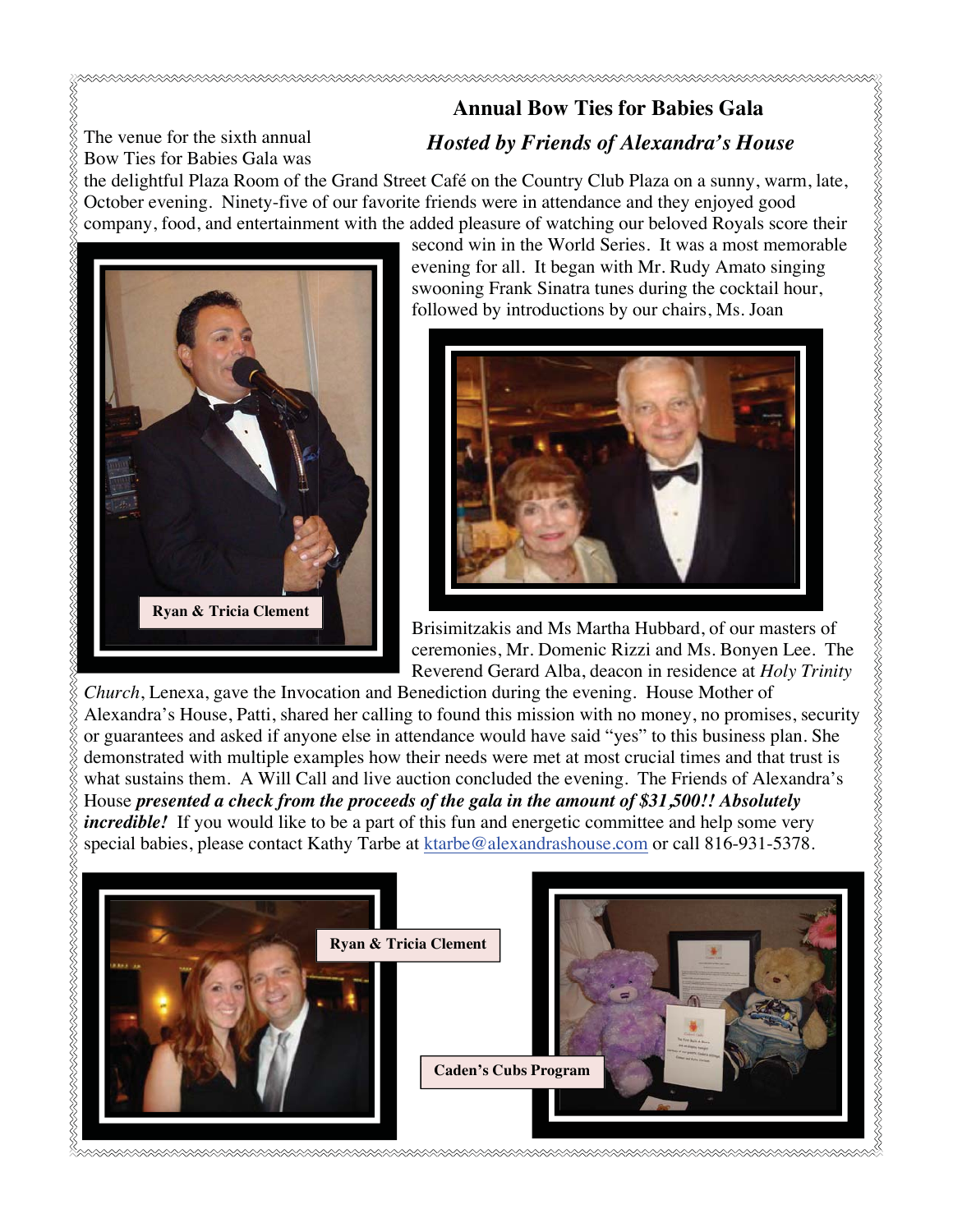# **Annual Bow Ties for Babies Gala**  *Hosted by Friends of Alexandra's House*

The venue for the sixth annual Bow Ties for Babies Gala was

the delightful Plaza Room of the Grand Street Café on the Country Club Plaza on a sunny, warm, late, October evening. Ninety-five of our favorite friends were in attendance and they enjoyed good company, food, and entertainment with the added pleasure of watching our beloved Royals score their



second win in the World Series. It was a most memorable evening for all. It began with Mr. Rudy Amato singing swooning Frank Sinatra tunes during the cocktail hour, followed by introductions by our chairs, Ms. Joan



Brisimitzakis and Ms Martha Hubbard, of our masters of ceremonies, Mr. Domenic Rizzi and Ms. Bonyen Lee. The Reverend Gerard Alba, deacon in residence at *Holy Trinity* 

*Church*, Lenexa, gave the Invocation and Benediction during the evening. House Mother of or guarantees and asked if anyone else in attendance would have said "yes" to this business plan. She demonstrated with multiple examples how their needs were met at most crucial times and that trust is what sustains them. A Will Call and live auction concluded the evening. The Friends of Alexandra's House *presented a check from the proceeds of the gala in the amount of \$31,500!! Absolutely incredible!* If you would like to be a part of this fun and energetic committee and help some very special babies, please contact Kathy Tarbe at ktarbe@alexandrashouse.com or call 816-931-5378.

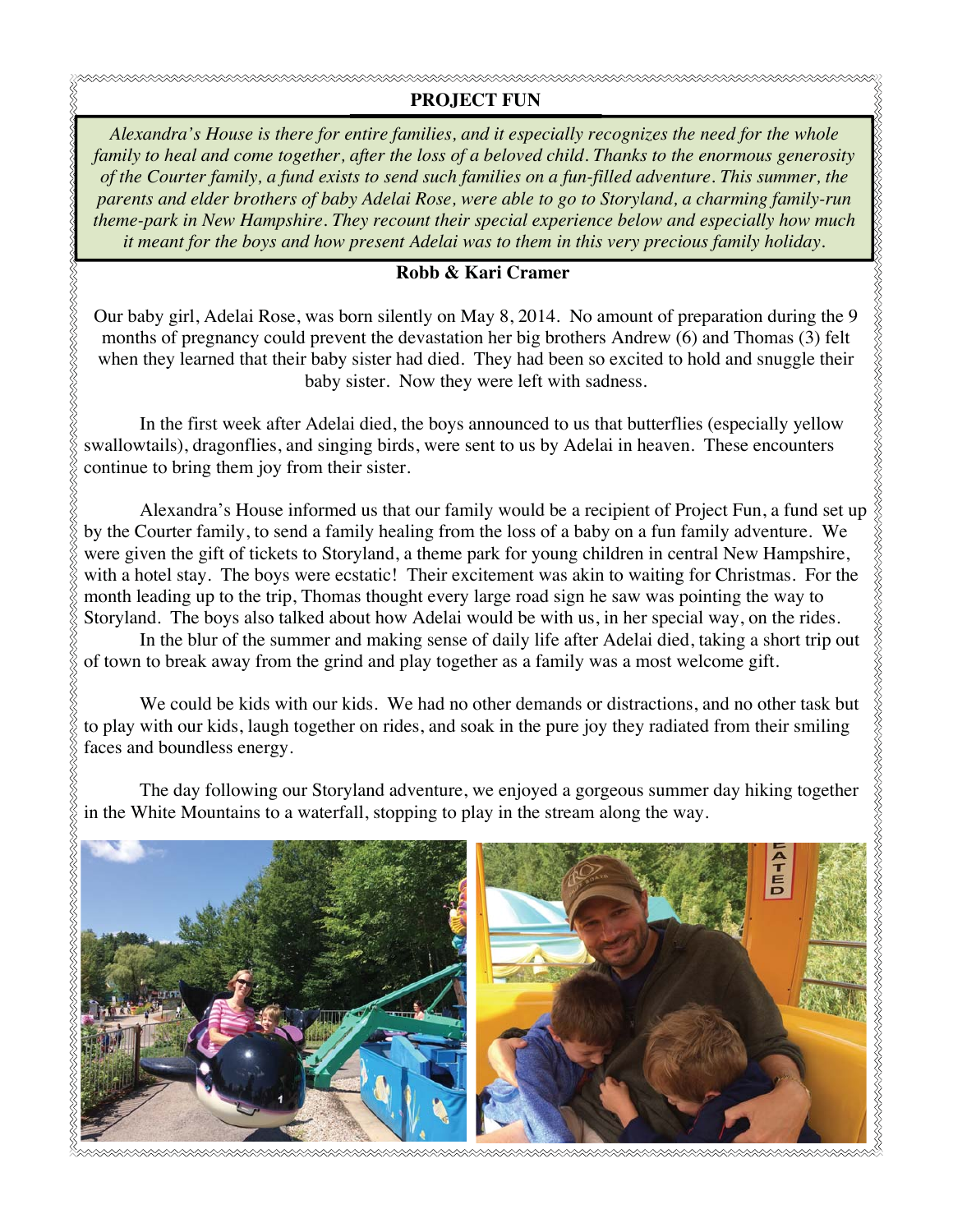## **PROJECT FUN**

*Alexandra's House is there for entire families, and it especially recognizes the need for the whole family to heal and come together, after the loss of a beloved child. Thanks to the enormous generosity of the Courter family, a fund exists to send such families on a fun-filled adventure. This summer, the parents and elder brothers of baby Adelai Rose, were able to go to Storyland, a charming family-run theme-park in New Hampshire. They recount their special experience below and especially how much it meant for the boys and how present Adelai was to them in this very precious family holiday.* 

### **Robb & Kari Cramer**

Our baby girl, Adelai Rose, was born silently on May 8, 2014. No amount of preparation during the 9 months of pregnancy could prevent the devastation her big brothers Andrew (6) and Thomas (3) felt when they learned that their baby sister had died. They had been so excited to hold and snuggle their baby sister. Now they were left with sadness.

In the first week after Adelai died, the boys announced to us that butterflies (especially yellow swallowtails), dragonflies, and singing birds, were sent to us by Adelai in heaven. These encounters continue to bring them joy from their sister.

**XXXXXXXXXXXXXXXXXXXXXXXXXXXX** 

by the Courter family, to send a family healing from the loss of a baby on a fun family adventure. We were given the gift of tickets to Storyland, a theme park for young children in central New Hampshire, with a hotel stay. The boys were ecstatic! Their excitement was akin to waiting for Christmas. For the month leading up to the trip, Thomas thought every large road sign he saw was pointing the way to Storyland. The boys also talked about how Adelai would be with us, in her special way, on the rides.

In the blur of the summer and making sense of daily life after Adelai died, taking a short trip out of town to break away from the grind and play together as a family was a most welcome gift.

 We could be kids with our kids. We had no other demands or distractions, and no other task but to play with our kids, laugh together on rides, and soak in the pure joy they radiated from their smiling faces and boundless energy.

The day following our Storyland adventure, we enjoyed a gorgeous summer day hiking together in the White Mountains to a waterfall, stopping to play in the stream along the way.

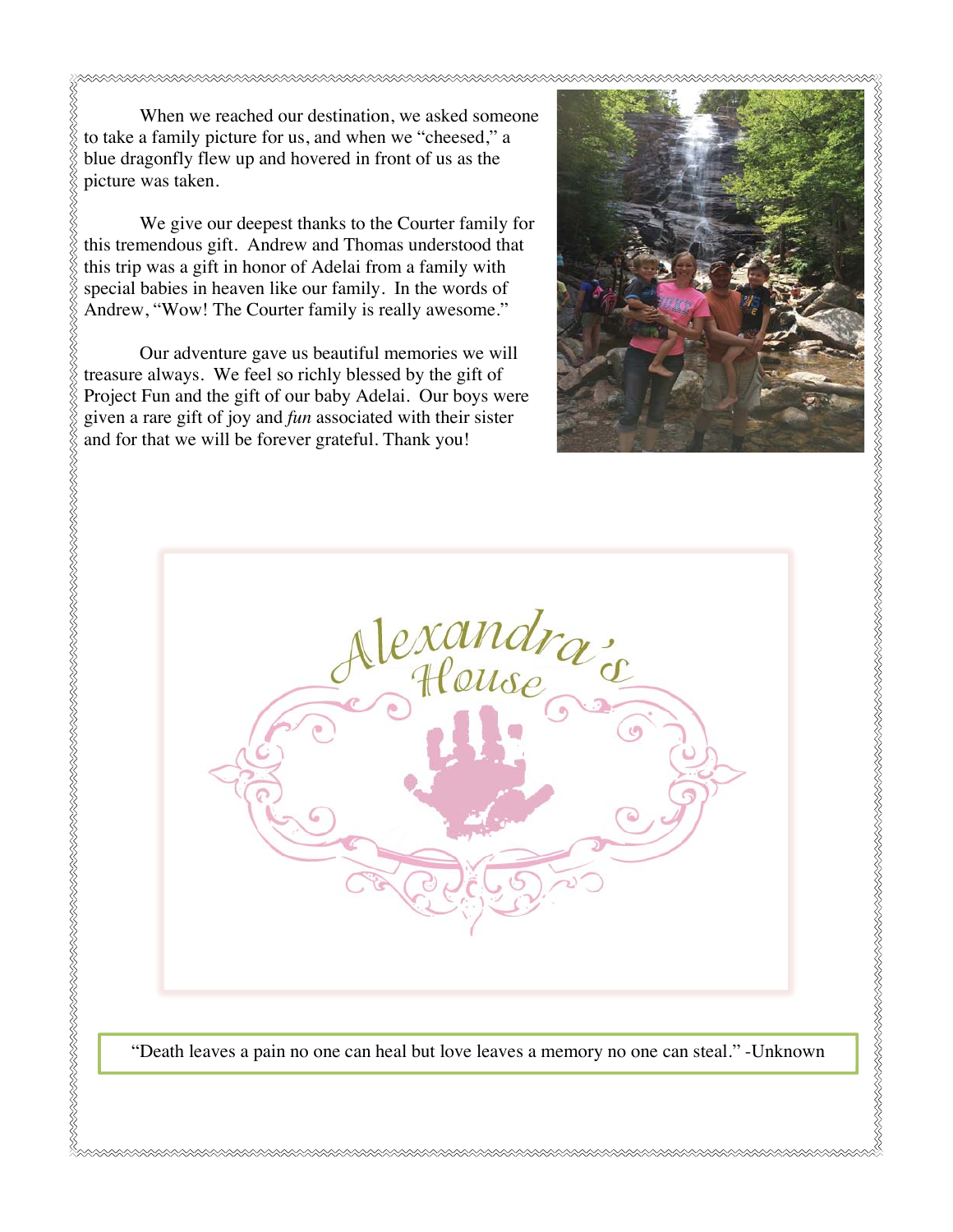When we reached our destination, we asked someone to take a family picture for us, and when we "cheesed," a blue dragonfly flew up and hovered in front of us as the picture was taken.

We give our deepest thanks to the Courter family for this tremendous gift. Andrew and Thomas understood that this trip was a gift in honor of Adelai from a family with special babies in heaven like our family. In the words of Andrew, "Wow! The Courter family is really awesome."

Our adventure gave us beautiful memories we will treasure always. We feel so richly blessed by the gift of Project Fun and the gift of our baby Adelai. Our boys were and for that we will be forever grateful. Thank you!





"Death leaves a pain no one can heal but love leaves a memory no one can steal." -Unknown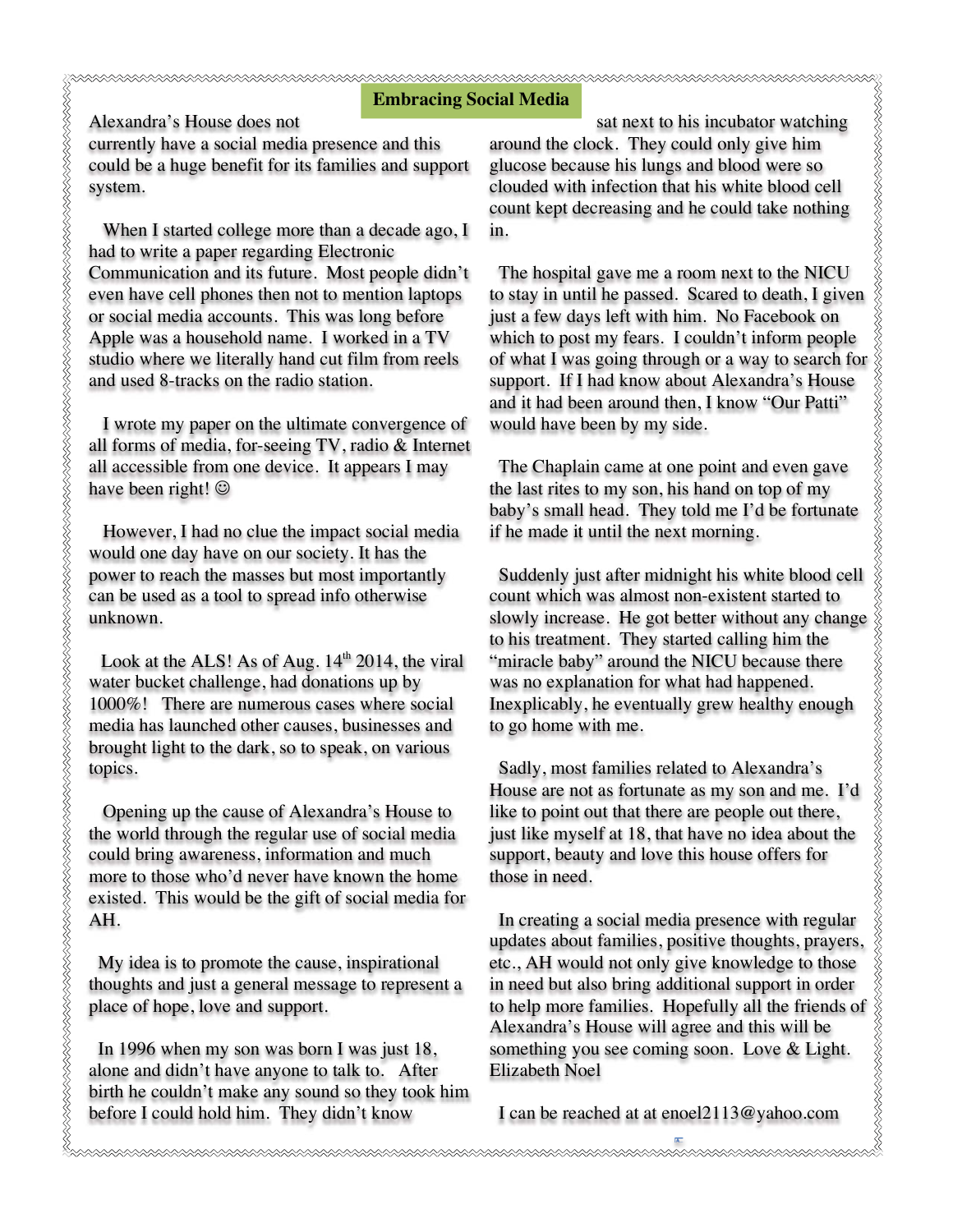#### **Embracing Social Media**

Alexandra's House does not

currently have a social media presence and this could be a huge benefit for its families and support system.

 When I started college more than a decade ago, I had to write a paper regarding Electronic Communication and its future. Most people didn't even have cell phones then not to mention laptops or social media accounts. This was long before Apple was a household name. I worked in a TV studio where we literally hand cut film from reels and used 8-tracks on the radio station.

 I wrote my paper on the ultimate convergence of all forms of media, for-seeing TV, radio & Internet all accessible from one device. It appears I may have been right!  $\odot$ 

 However, I had no clue the impact social media would one day have on our society. It has the power to reach the masses but most importantly can be used as a tool to spread info otherwise unknown.

Look at the ALS! As of Aug.  $14<sup>th</sup>$  2014, the viral water bucket challenge, had donations up by 1000%! There are numerous cases where social media has launched other causes, businesses and brought light to the dark, so to speak, on various topics.

 Opening up the cause of Alexandra's House to the world through the regular use of social media could bring awareness, information and much more to those who'd never have known the home existed. This would be the gift of social media for AH.

 My idea is to promote the cause, inspirational thoughts and just a general message to represent a place of hope, love and support.

 In 1996 when my son was born I was just 18, alone and didn't have anyone to talk to. After birth he couldn't make any sound so they took him before I could hold him. They didn't know

sat next to his incubator watching around the clock. They could only give him glucose because his lungs and blood were so clouded with infection that his white blood cell count kept decreasing and he could take nothing in.

 The hospital gave me a room next to the NICU to stay in until he passed. Scared to death, I given just a few days left with him. No Facebook on which to post my fears. I couldn't inform people **cial Media**<br>sat next to his incubator watching<br>around the clock. They could only give him<br>glucose because his lungs and blood were so<br>clouded with infercition that his white blood cell<br>count kept decreasing and he could support. If I had know about Alexandra's House and it had been around then, I know "Our Patti" would have been by my side.

 The Chaplain came at one point and even gave the last rites to my son, his hand on top of my baby's small head. They told me I'd be fortunate if he made it until the next morning.

 Suddenly just after midnight his white blood cell count which was almost non-existent started to slowly increase. He got better without any change to his treatment. They started calling him the "miracle baby" around the NICU because there was no explanation for what had happened. Inexplicably, he eventually grew healthy enough to go home with me.

 Sadly, most families related to Alexandra's House are not as fortunate as my son and me. I'd like to point out that there are people out there, just like myself at 18, that have no idea about the support, beauty and love this house offers for those in need.

 In creating a social media presence with regular updates about families, positive thoughts, prayers, etc., AH would not only give knowledge to those in need but also bring additional support in order to help more families. Hopefully all the friends of Alexandra's House will agree and this will be something you see coming soon. Love & Light. Elizabeth Noel

I can be reached at at enoel2113@yahoo.com